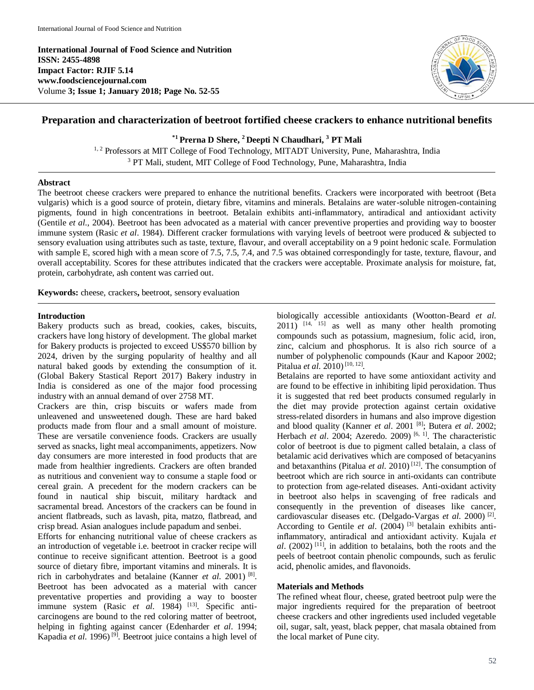**International Journal of Food Science and Nutrition ISSN: 2455-4898 Impact Factor: RJIF 5.14 www.foodsciencejournal.com** Volume **3; Issue 1; January 2018; Page No. 52-55**



# **Preparation and characterization of beetroot fortified cheese crackers to enhance nutritional benefits**

**\*1 Prerna D Shere, <sup>2</sup> Deepti N Chaudhari, <sup>3</sup> PT Mali**

<sup>1, 2</sup> Professors at MIT College of Food Technology, MITADT University, Pune, Maharashtra, India <sup>3</sup> PT Mali, student, MIT College of Food Technology, Pune, Maharashtra, India

# **Abstract**

The beetroot cheese crackers were prepared to enhance the nutritional benefits. Crackers were incorporated with beetroot (Beta vulgaris) which is a good source of protein, dietary fibre, vitamins and minerals. Betalains are water-soluble nitrogen-containing pigments, found in high concentrations in beetroot. Betalain exhibits anti-inflammatory, antiradical and antioxidant activity (Gentile *et al*., 2004). Beetroot has been advocated as a material with cancer preventive properties and providing way to booster immune system (Rasic *et al*. 1984). Different cracker formulations with varying levels of beetroot were produced & subjected to sensory evaluation using attributes such as taste, texture, flavour, and overall acceptability on a 9 point hedonic scale. Formulation with sample E, scored high with a mean score of 7.5, 7.5, 7.4, and 7.5 was obtained correspondingly for taste, texture, flavour, and overall acceptability. Scores for these attributes indicated that the crackers were acceptable. Proximate analysis for moisture, fat, protein, carbohydrate, ash content was carried out.

**Keywords:** cheese, crackers**,** beetroot, sensory evaluation

### **Introduction**

Bakery products such as bread, cookies, cakes, biscuits, crackers have long history of development. The global market for Bakery products is projected to exceed US\$570 billion by 2024, driven by the surging popularity of healthy and all natural baked goods by extending the consumption of it. (Global Bakery Stastical Report 2017) Bakery industry in India is considered as one of the major food processing industry with an annual demand of over 2758 MT.

Crackers are thin, crisp biscuits or wafers made from unleavened and unsweetened dough. These are hard baked products made from flour and a small amount of moisture. These are versatile convenience foods. Crackers are usually served as snacks, light meal accompaniments, appetizers. Now day consumers are more interested in food products that are made from healthier ingredients. Crackers are often branded as nutritious and convenient way to consume a staple food or cereal grain. A precedent for the modern crackers can be found in nautical ship biscuit, military hardtack and sacramental bread. Ancestors of the crackers can be found in ancient flatbreads, such as lavash, pita, matzo, flatbread, and crisp bread. Asian analogues include papadum and senbei.

Efforts for enhancing nutritional value of cheese crackers as an introduction of vegetable i.e. beetroot in cracker recipe will continue to receive significant attention. Beetroot is a good source of dietary fibre, important vitamins and minerals. It is rich in carbohydrates and betalaine (Kanner *et al*. 2001) [8] . Beetroot has been advocated as a material with cancer preventative properties and providing a way to booster immune system (Rasic *et al.* 1984)<sup>[13]</sup>. Specific anticarcinogens are bound to the red coloring matter of beetroot, helping in fighting against cancer (Edenharder *et al*. 1994; Kapadia *et al*. 1996) [9] . Beetroot juice contains a high level of

biologically accessible antioxidants (Wootton-Beard *et al*.  $2011$ )  $[14, 15]$  as well as many other health promoting compounds such as potassium, magnesium, folic acid, iron, zinc, calcium and phosphorus. It is also rich source of a number of polyphenolic compounds (Kaur and Kapoor 2002; Pitalua *et al*. 2010) [10, 12] .

Betalains are reported to have some antioxidant activity and are found to be effective in inhibiting lipid peroxidation. Thus it is suggested that red beet products consumed regularly in the diet may provide protection against certain oxidative stress-related disorders in humans and also improve digestion and blood quality (Kanner *et al*. 2001 [8] ; Butera *et al*. 2002; Herbach *et al.* 2004; Azeredo. 2009)<sup>[6, 1]</sup>. The characteristic color of beetroot is due to pigment called betalain, a class of betalamic acid derivatives which are composed of betacyanins and betaxanthins (Pitalua *et al.* 2010)<sup>[12]</sup>. The consumption of beetroot which are rich source in anti-oxidants can contribute to protection from age-related diseases. Anti-oxidant activity in beetroot also helps in scavenging of free radicals and consequently in the prevention of diseases like cancer, cardiovascular diseases etc. (Delgado-Vargas *et al*. 2000) [2] . According to Gentile *et al*. (2004) [3] betalain exhibits antiinflammatory, antiradical and antioxidant activity. Kujala *et*   $al.$  (2002)<sup>[11]</sup>, in addition to betalains, both the roots and the peels of beetroot contain phenolic compounds, such as ferulic acid, phenolic amides, and flavonoids.

# **Materials and Methods**

The refined wheat flour, cheese, grated beetroot pulp were the major ingredients required for the preparation of beetroot cheese crackers and other ingredients used included vegetable oil, sugar, salt, yeast, black pepper, chat masala obtained from the local market of Pune city.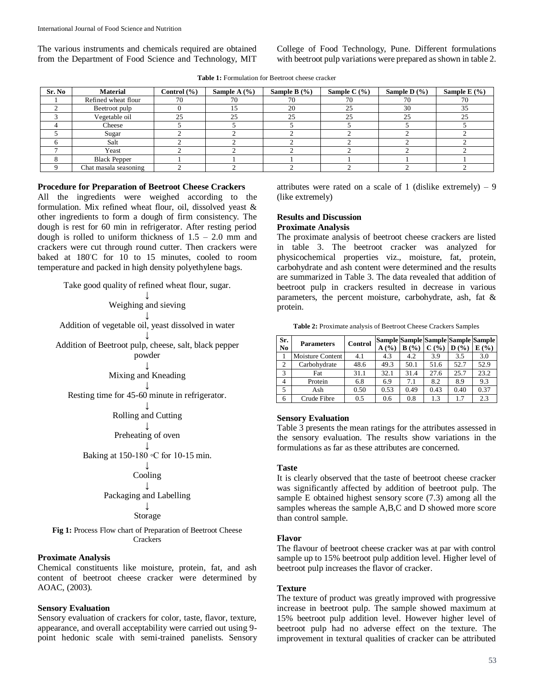The various instruments and chemicals required are obtained from the Department of Food Science and Technology, MIT College of Food Technology, Pune. Different formulations with beetroot pulp variations were prepared as shown in table 2.

**Table 1:** Formulation for Beetroot cheese cracker

| Sr. No | <b>Material</b>       | Control $(\% )$ | Sample A $(\% )$ | Sample B $(\% )$ | Sample C $(\% )$ | Sample D $(\% )$ | Sample E $(\% )$ |
|--------|-----------------------|-----------------|------------------|------------------|------------------|------------------|------------------|
|        | Refined wheat flour   | 70              | 70               | 70               | 70               | 70               | 70               |
|        | Beetroot pulp         |                 |                  | 20               | 25               | 30               | 35               |
|        | Vegetable oil         | 25              | 25               | 25               | 25               | 25               | 25               |
|        | Cheese                |                 |                  |                  |                  |                  |                  |
|        | Sugar                 |                 |                  |                  |                  |                  |                  |
|        | Salt                  |                 |                  |                  |                  |                  |                  |
|        | Yeast                 |                 |                  |                  |                  |                  |                  |
|        | <b>Black Pepper</b>   |                 |                  |                  |                  |                  |                  |
|        | Chat masala seasoning |                 |                  |                  |                  |                  |                  |

# **Procedure for Preparation of Beetroot Cheese Crackers**

All the ingredients were weighed according to the formulation. Mix refined wheat flour, oil, dissolved yeast & other ingredients to form a dough of firm consistency. The dough is rest for 60 min in refrigerator. After resting period dough is rolled to uniform thickness of  $1.5 - 2.0$  mm and crackers were cut through round cutter. Then crackers were baked at 180℃ for 10 to 15 minutes, cooled to room temperature and packed in high density polyethylene bags.

Take good quality of refined wheat flour, sugar.

↓ Weighing and sieving ↓ Addition of vegetable oil, yeast dissolved in water ↓ Addition of Beetroot pulp, cheese, salt, black pepper powder

> ↓ Mixing and Kneading

↓ Resting time for 45-60 minute in refrigerator.

> ↓ Rolling and Cutting

↓ Preheating of oven

↓ Baking at 150-180 ◦C for 10-15 min.

> ↓ Cooling

↓ Packaging and Labelling

> ↓ Storage

Fig 1: Process Flow chart of Preparation of Beetroot Cheese **Crackers** 

# **Proximate Analysis**

Chemical constituents like moisture, protein, fat, and ash content of beetroot cheese cracker were determined by AOAC, (2003).

# **Sensory Evaluation**

Sensory evaluation of crackers for color, taste, flavor, texture, appearance, and overall acceptability were carried out using 9 point hedonic scale with semi-trained panelists. Sensory attributes were rated on a scale of 1 (dislike extremely) – 9 (like extremely)

# **Results and Discussion**

**Proximate Analysis**

The proximate analysis of beetroot cheese crackers are listed in table 3. The beetroot cracker was analyzed for physicochemical properties viz., moisture, fat, protein, carbohydrate and ash content were determined and the results are summarized in Table 3. The data revealed that addition of beetroot pulp in crackers resulted in decrease in various parameters, the percent moisture, carbohydrate, ash, fat & protein.

**Table 2:** Proximate analysis of Beetroot Cheese Crackers Samples

| Sr.<br>No      | <b>Parameters</b> | Control | A(%) | B(%) | $C($ %) | $\mathbf{D}$ (%) | Sample Sample Sample Sample Sample<br>E(%) |
|----------------|-------------------|---------|------|------|---------|------------------|--------------------------------------------|
|                | Moisture Content  | 4.1     | 4.3  | 4.2  | 3.9     | 3.5              | 3.0                                        |
| $\overline{c}$ | Carbohydrate      | 48.6    | 49.3 | 50.1 | 51.6    | 52.7             | 52.9                                       |
| 3              | Fat               | 31.1    | 32.1 | 31.4 | 27.6    | 25.7             | 23.2                                       |
|                | Protein           | 6.8     | 6.9  | 7.1  | 8.2     | 8.9              | 9.3                                        |
| 5              | Ash               | 0.50    | 0.53 | 0.49 | 0.43    | 0.40             | 0.37                                       |
| 6              | Crude Fibre       | 0.5     | 0.6  | 0.8  | 1.3     | 1.7              | 2.3                                        |

### **Sensory Evaluation**

Table 3 presents the mean ratings for the attributes assessed in the sensory evaluation. The results show variations in the formulations as far as these attributes are concerned.

#### **Taste**

It is clearly observed that the taste of beetroot cheese cracker was significantly affected by addition of beetroot pulp. The sample E obtained highest sensory score (7.3) among all the samples whereas the sample A,B,C and D showed more score than control sample.

### **Flavor**

The flavour of beetroot cheese cracker was at par with control sample up to 15% beetroot pulp addition level. Higher level of beetroot pulp increases the flavor of cracker.

#### **Texture**

The texture of product was greatly improved with progressive increase in beetroot pulp. The sample showed maximum at 15% beetroot pulp addition level. However higher level of beetroot pulp had no adverse effect on the texture. The improvement in textural qualities of cracker can be attributed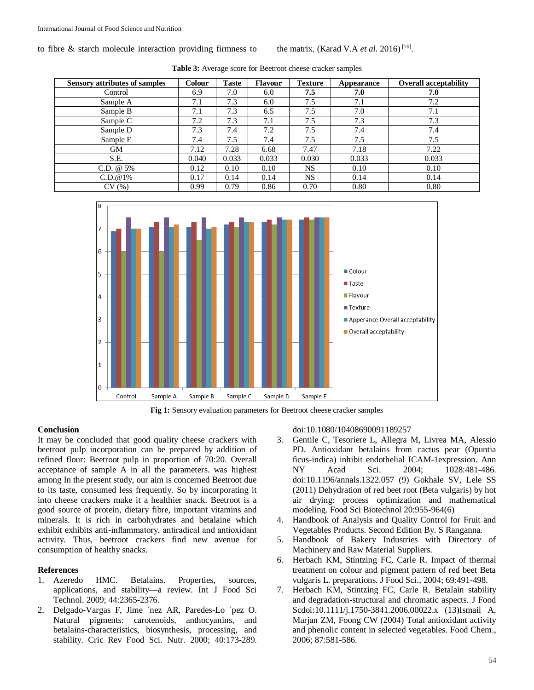to fibre & starch molecule interaction providing firmness to

| <b>Sensory attributes of samples</b> | <b>Colour</b> | <b>Taste</b> | <b>Flavour</b> | <b>Texture</b> | Appearance | <b>Overall acceptability</b> |
|--------------------------------------|---------------|--------------|----------------|----------------|------------|------------------------------|
| Control                              | 6.9           | 7.0          | 6.0            | 7.5            | 7.0        | 7.0                          |
| Sample A                             | 7.1           | 7.3          | 6.0            | 7.5            | 7.1        | 7.2                          |
| Sample B                             | 7.1           | 7.3          | 6.5            | 7.5            | 7.0        | 7.1                          |
| Sample C                             | 7.2           | 7.3          | 7.1            | 7.5            | 7.3        | 7.3                          |
| Sample D                             | 7.3           | 7.4          | 7.2            | 7.5            | 7.4        | 7.4                          |
| Sample E                             | 7.4           | 7.5          | 7.4            | 7.5            | 7.5        | 7.5                          |
| <b>GM</b>                            | 7.12          | 7.28         | 6.68           | 7.47           | 7.18       | 7.22                         |
| S.E.                                 | 0.040         | 0.033        | 0.033          | 0.030          | 0.033      | 0.033                        |
| C.D. $@5\%$                          | 0.12          | 0.10         | 0.10           | <b>NS</b>      | 0.10       | 0.10                         |
| C.D.@1%                              | 0.17          | 0.14         | 0.14           | <b>NS</b>      | 0.14       | 0.14                         |
| CV(%)                                | 0.99          | 0.79         | 0.86           | 0.70           | 0.80       | 0.80                         |

**Table 3:** Average score for Beetroot cheese cracker samples



**Fig 1:** Sensory evaluation parameters for Beetroot cheese cracker samples

# **Conclusion**

It may be concluded that good quality cheese crackers with beetroot pulp incorporation can be prepared by addition of refined flour: Beetroot pulp in proportion of 70:20. Overall acceptance of sample A in all the parameters. was highest among In the present study, our aim is concerned Beetroot due to its taste, consumed less frequently. So by incorporating it into cheese crackers make it a healthier snack. Beetroot is a good source of protein, dietary fibre, important vitamins and minerals. It is rich in carbohydrates and betalaine which exhibit exhibits anti-inflammatory, antiradical and antioxidant activity. Thus, beetroot crackers find new avenue for consumption of healthy snacks.

# **References**

- 1. Azeredo HMC. Betalains. Properties, sources, applications, and stability—a review. Int J Food Sci Technol. 2009; 44:2365-2376.
- 2. Delgado-Vargas F, Jime ´nez AR, Paredes-Lo ´pez O. Natural pigments: carotenoids, anthocyanins, and betalains-characteristics, biosynthesis, processing, and stability. Cric Rev Food Sci. Nutr. 2000; 40:173-289.

doi:10.1080/10408690091189257

3. Gentile C, Tesoriere L, Allegra M, Livrea MA, Alessio PD. Antioxidant betalains from cactus pear (Opuntia ficus-indica) inhibit endothelial ICAM-1expression. Ann NY Acad Sci. 2004; 1028:481-486. doi:10.1196/annals.1322.057 (9) Gokhale SV, Lele SS (2011) Dehydration of red beet root (Beta vulgaris) by hot air drying: process optimization and mathematical modeling. Food Sci Biotechnol 20:955-964(6)

[16] .

- 4. Handbook of Analysis and Quality Control for Fruit and Vegetables Products. Second Edition By. S Ranganna.
- 5. Handbook of Bakery Industries with Directory of Machinery and Raw Material Suppliers.
- 6. Herbach KM, Stintzing FC, Carle R. Impact of thermal treatment on colour and pigment pattern of red beet Beta vulgaris L. preparations. J Food Sci., 2004; 69:491-498.
- 7. Herbach KM, Stintzing FC, Carle R. Betalain stability and degradation-structural and chromatic aspects. J Food Scdoi:10.1111/j.1750-3841.2006.00022.x (13)Ismail A, Marjan ZM, Foong CW (2004) Total antioxidant activity and phenolic content in selected vegetables. Food Chem., 2006; 87:581-586.